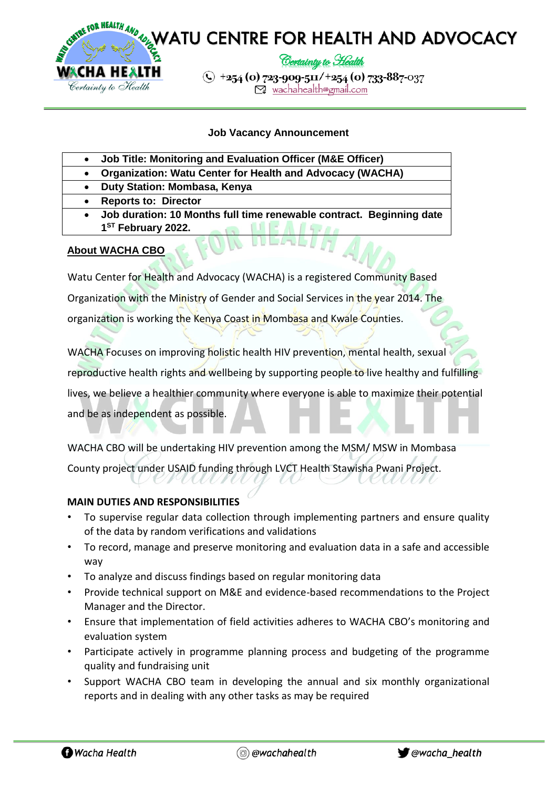

## **Job Vacancy Announcement**

- **Job Title: Monitoring and Evaluation Officer (M&E Officer)**
	- **Organization: Watu Center for Health and Advocacy (WACHA)**
- **Duty Station: Mombasa, Kenya**
- **Reports to: Director** 
	- **Job duration: 10 Months full time renewable contract. Beginning date 1 ST February 2022.**

## **About WACHA CBO**

Watu Center for Health and Advocacy (WACHA) is a registered Community Based Organization with the Ministry of Gender and Social Services in the year 2014. The organization is working the Kenya Coast in Mombasa and Kwale Counties.

WACHA Focuses on improving holistic health HIV prevention, mental health, sexual reproductive health rights and wellbeing by supporting people to live healthy and fulfilling lives, we believe a healthier community where everyone is able to maximize their potential and be as independent as possible.

WACHA CBO will be undertaking HIV prevention among the MSM/ MSW in Mombasa County project under USAID funding through LVCT Health Stawisha Pwani Project.

#### **MAIN DUTIES AND RESPONSIBILITIES**

- To supervise regular data collection through implementing partners and ensure quality of the data by random verifications and validations
- To record, manage and preserve monitoring and evaluation data in a safe and accessible way
- To analyze and discuss findings based on regular monitoring data
- Provide technical support on M&E and evidence-based recommendations to the Project Manager and the Director.
- Ensure that implementation of field activities adheres to WACHA CBO's monitoring and evaluation system
- Participate actively in programme planning process and budgeting of the programme quality and fundraising unit
- Support WACHA CBO team in developing the annual and six monthly organizational reports and in dealing with any other tasks as may be required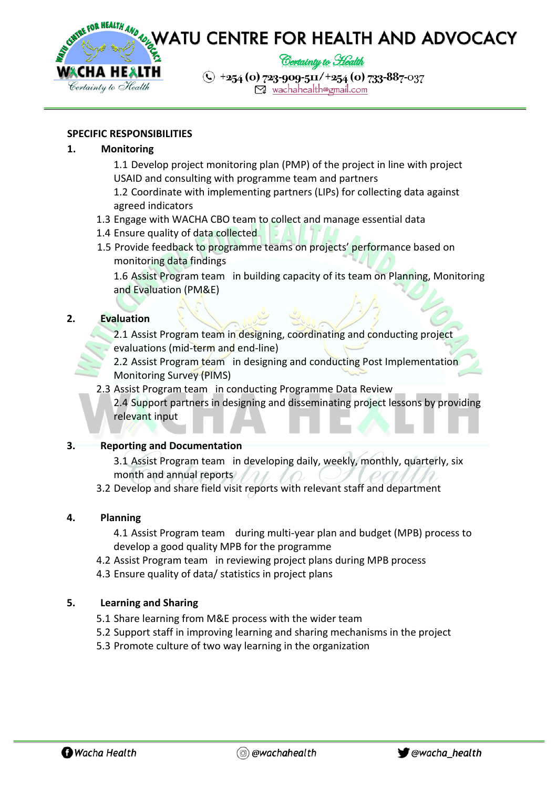

## **SPECIFIC RESPONSIBILITIES**

## **1. Monitoring**

- 1.1 Develop project monitoring plan (PMP) of the project in line with project USAID and consulting with programme team and partners
- 1.2 Coordinate with implementing partners (LIPs) for collecting data against agreed indicators
- 1.3 Engage with WACHA CBO team to collect and manage essential data
- 1.4 Ensure quality of data collected
- 1.5 Provide feedback to programme teams on projects' performance based on monitoring data findings

1.6 Assist Program team in building capacity of its team on Planning, Monitoring and Evaluation (PM&E)

## **2. Evaluation**

2.1 Assist Program team in designing, coordinating and conducting project evaluations (mid-term and end-line)

2.2 Assist Program team in designing and conducting Post Implementation Monitoring Survey (PIMS)

2.3 Assist Program team in conducting Programme Data Review 2.4 Support partners in designing and disseminating project lessons by providing relevant input

### **3. Reporting and Documentation**

3.1 Assist Program team in developing daily, weekly, monthly, quarterly, six month and annual reports

3.2 Develop and share field visit reports with relevant staff and department

#### **4. Planning**

4.1 Assist Program team during multi-year plan and budget (MPB) process to develop a good quality MPB for the programme

- 4.2 Assist Program team in reviewing project plans during MPB process
- 4.3 Ensure quality of data/ statistics in project plans

#### **5. Learning and Sharing**

- 5.1 Share learning from M&E process with the wider team
- 5.2 Support staff in improving learning and sharing mechanisms in the project
- 5.3 Promote culture of two way learning in the organization

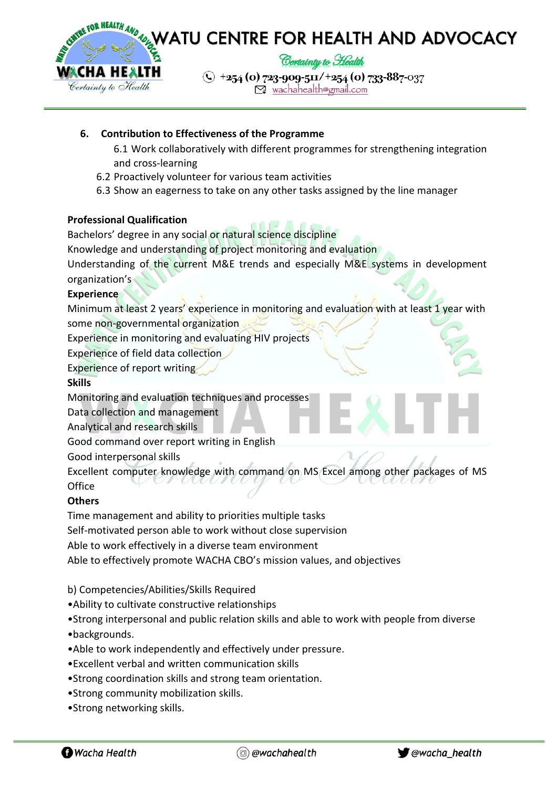

## **6. Contribution to Effectiveness of the Programme**

- 6.1 Work collaboratively with different programmes for strengthening integration and cross-learning
- 6.2 Proactively volunteer for various team activities
- 6.3 Show an eagerness to take on any other tasks assigned by the line manager

#### **Professional Qualification**

Bachelors' degree in any social or natural science discipline

Knowledge and understanding of project monitoring and evaluation

Understanding of the current M&E trends and especially M&E systems in development organization's

## **Experience**

Minimum at least 2 years' experience in monitoring and evaluation with at least 1 year with some non-governmental organization

Experience in monitoring and evaluating HIV projects

Experience of field data collection

Experience of report writing

#### **Skills**

Monitoring and evaluation techniques and processes

Data collection and management

Analytical and research skills

Good command over report writing in English

Good interpersonal skills

Excellent computer knowledge with command on MS Excel among other packages of MS **Office** 

# **Others**

Time management and ability to priorities multiple tasks

Self-motivated person able to work without close supervision

Able to work effectively in a diverse team environment

Able to effectively promote WACHA CBO's mission values, and objectives

b) Competencies/Abilities/Skills Required

- •Ability to cultivate constructive relationships
- •Strong interpersonal and public relation skills and able to work with people from diverse
- •backgrounds.
- •Able to work independently and effectively under pressure.
- •Excellent verbal and written communication skills
- •Strong coordination skills and strong team orientation.
- •Strong community mobilization skills.
- •Strong networking skills.